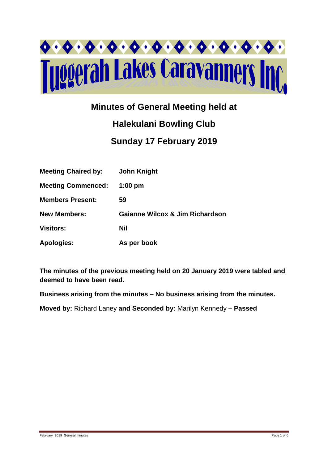

# **Minutes of General Meeting held at**

# **Halekulani Bowling Club Sunday 17 February 2019**

| <b>Meeting Chaired by:</b> | <b>John Knight</b>              |
|----------------------------|---------------------------------|
| <b>Meeting Commenced:</b>  | $1:00$ pm                       |
| <b>Members Present:</b>    | 59                              |
| <b>New Members:</b>        | Gaianne Wilcox & Jim Richardson |
| <b>Visitors:</b>           | Nil                             |
| <b>Apologies:</b>          | As per book                     |

**The minutes of the previous meeting held on 20 January 2019 were tabled and deemed to have been read.**

**Business arising from the minutes – No business arising from the minutes.**

**Moved by:** Richard Laney **and Seconded by:** Marilyn Kennedy **– Passed**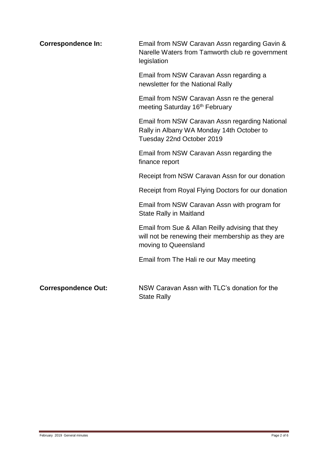| <b>Correspondence In:</b>  | Email from NSW Caravan Assn regarding Gavin &<br>Narelle Waters from Tamworth club re government<br>legislation               |  |  |
|----------------------------|-------------------------------------------------------------------------------------------------------------------------------|--|--|
|                            | Email from NSW Caravan Assn regarding a<br>newsletter for the National Rally                                                  |  |  |
|                            | Email from NSW Caravan Assn re the general<br>meeting Saturday 16 <sup>th</sup> February                                      |  |  |
|                            | Email from NSW Caravan Assn regarding National<br>Rally in Albany WA Monday 14th October to<br>Tuesday 22nd October 2019      |  |  |
|                            | Email from NSW Caravan Assn regarding the<br>finance report                                                                   |  |  |
|                            | Receipt from NSW Caravan Assn for our donation                                                                                |  |  |
|                            | Receipt from Royal Flying Doctors for our donation                                                                            |  |  |
|                            | Email from NSW Caravan Assn with program for<br><b>State Rally in Maitland</b>                                                |  |  |
|                            | Email from Sue & Allan Reilly advising that they<br>will not be renewing their membership as they are<br>moving to Queensland |  |  |
|                            | Email from The Hali re our May meeting                                                                                        |  |  |
| <b>Correspondence Out:</b> | NSW Caravan Assn with TLC's donation for the<br><b>State Rally</b>                                                            |  |  |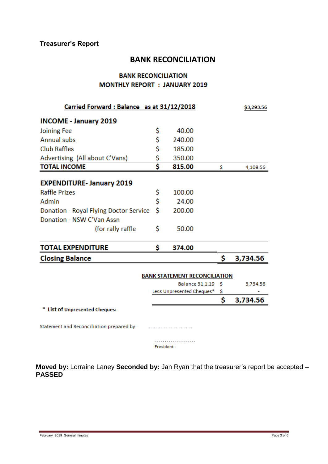# **BANK RECONCILIATION**

# **BANK RECONCILIATION MONTHLY REPORT : JANUARY 2019**

| Carried Forward: Balance as at 31/12/2018 |    |                                      |     | \$3,293.56 |
|-------------------------------------------|----|--------------------------------------|-----|------------|
| <b>INCOME - January 2019</b>              |    |                                      |     |            |
| Joining Fee                               | \$ | 40.00                                |     |            |
| <b>Annual subs</b>                        | \$ | 240.00                               |     |            |
| <b>Club Raffles</b>                       | \$ | 185.00                               |     |            |
| Advertising (All about C'Vans)            | \$ | 350.00                               |     |            |
| <b>TOTAL INCOME</b>                       | Ś  | 815.00                               | Ŝ   | 4,108.56   |
| <b>EXPENDITURE- January 2019</b>          |    |                                      |     |            |
| <b>Raffle Prizes</b>                      | \$ | 100.00                               |     |            |
| Admin                                     | \$ | 24.00                                |     |            |
| Donation - Royal Flying Doctor Service    | Ś  | 200.00                               |     |            |
| Donation - NSW C'Van Assn                 |    |                                      |     |            |
| (for rally raffle)                        | \$ | 50.00                                |     |            |
| <b>TOTAL EXPENDITURE</b>                  | \$ | 374.00                               |     |            |
| <b>Closing Balance</b>                    |    |                                      | \$. | 3,734.56   |
|                                           |    | <b>BANK STATEMENT RECONCILIATION</b> |     |            |
|                                           |    | <b>Balance 31.1.19</b>               | -S  | 3,734.56   |
|                                           |    | Less Unpresented Cheques*            | \$  |            |
|                                           |    |                                      | Ś   | 3,734.56   |
| * List of Unpresented Cheques:            |    |                                      |     |            |
| Statement and Reconciliation prepared by  |    |                                      |     |            |

. . . . . . . . . . . . . . . . . . . . President:

**Moved by:** Lorraine Laney **Seconded by:** Jan Ryan that the treasurer's report be accepted **– PASSED**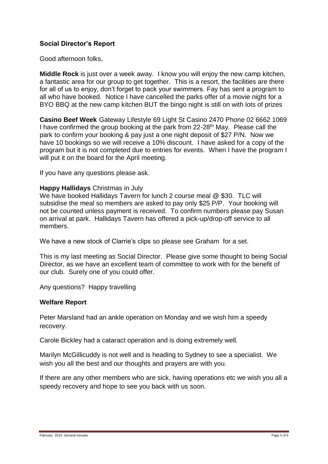# **Social Director's Report**

Good afternoon folks,

**Middle Rock** is just over a week away. I know you will enjoy the new camp kitchen, a fantastic area for our group to get together. This is a resort, the facilities are there for all of us to enjoy, don't forget to pack your swimmers. Fay has sent a program to all who have booked. Notice I have cancelled the parks offer of a movie night for a BYO BBQ at the new camp kitchen BUT the bingo night is still on with lots of prizes

**Casino Beef Week** Gateway Lifestyle 69 Light St Casino 2470 Phone 02 6662 1069 I have confirmed the group booking at the park from 22-28<sup>th</sup> May. Please call the park to confirm your booking & pay just a one night deposit of \$27 P/N. Now we have 10 bookings so we will receive a 10% discount. I have asked for a copy of the program but it is not completed due to entries for events. When I have the program I will put it on the board for the April meeting.

If you have any questions please ask.

#### **Happy Hallidays** Christmas in July

We have booked Hallidays Tavern for lunch 2 course meal @ \$30. TLC will subsidise the meal so members are asked to pay only \$25 P/P. Your booking will not be counted unless payment is received. To confirm numbers please pay Susan on arrival at park. Hallidays Tavern has offered a pick-up/drop-off service to all members.

We have a new stock of Clarrie's clips so please see Graham for a set.

This is my last meeting as Social Director. Please give some thought to being Social Director, as we have an excellent team of committee to work with for the benefit of our club. Surely one of you could offer.

Any questions? Happy travelling

#### **Welfare Report**

Peter Marsland had an ankle operation on Monday and we wish him a speedy recovery.

Carole Bickley had a cataract operation and is doing extremely well.

Marilyn McGillicuddy is not well and is heading to Sydney to see a specialist. We wish you all the best and our thoughts and prayers are with you.

If there are any other members who are sick, having operations etc we wish you all a speedy recovery and hope to see you back with us soon.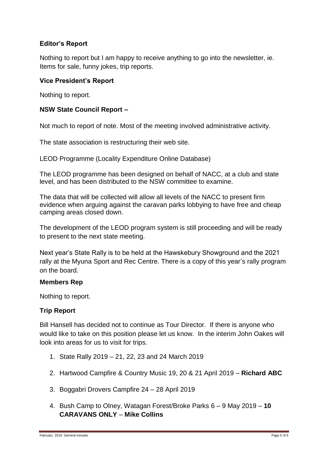# **Editor's Report**

Nothing to report but I am happy to receive anything to go into the newsletter, ie. Items for sale, funny jokes, trip reports.

#### **Vice President's Report**

Nothing to report.

# **NSW State Council Report –**

Not much to report of note. Most of the meeting involved administrative activity.

The state association is restructuring their web site.

LEOD Programme (Locality Expenditure Online Database)

The LEOD programme has been designed on behalf of NACC, at a club and state level, and has been distributed to the NSW committee to examine.

The data that will be collected will allow all levels of the NACC to present firm evidence when arguing against the caravan parks lobbying to have free and cheap camping areas closed down.

The development of the LEOD program system is still proceeding and will be ready to present to the next state meeting.

Next year's State Rally is to be held at the Hawskebury Showground and the 2021 rally at the Myuna Sport and Rec Centre. There is a copy of this year's rally program on the board.

# **Members Rep**

Nothing to report.

# **Trip Report**

Bill Hansell has decided not to continue as Tour Director. If there is anyone who would like to take on this position please let us know. In the interim John Oakes will look into areas for us to visit for trips.

- 1. State Rally 2019 21, 22, 23 and 24 March 2019
- 2. Hartwood Campfire & Country Music 19, 20 & 21 April 2019 **Richard ABC**
- 3. Boggabri Drovers Campfire 24 28 April 2019
- 4. Bush Camp to Olney, Watagan Forest/Broke Parks 6 9 May 2019 **10 CARAVANS ONLY** – **Mike Collins**